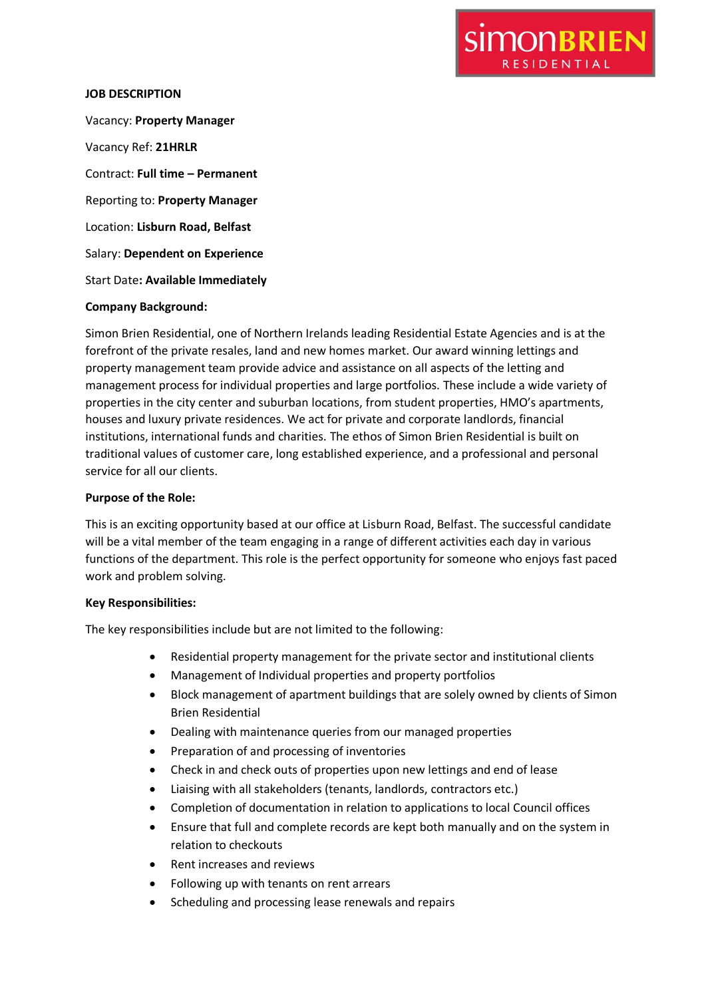

#### **JOB DESCRIPTION**

Vacancy: **Property Manager** Vacancy Ref: **21HRLR** Contract: **Full time – Permanent** Reporting to: **Property Manager** Location: **Lisburn Road, Belfast** Salary: **Dependent on Experience** Start Date**: Available Immediately**

#### **Company Background:**

Simon Brien Residential, one of Northern Irelands leading Residential Estate Agencies and is at the forefront of the private resales, land and new homes market. Our award winning lettings and property management team provide advice and assistance on all aspects of the letting and management process for individual properties and large portfolios. These include a wide variety of properties in the city center and suburban locations, from student properties, HMO's apartments, houses and luxury private residences. We act for private and corporate landlords, financial institutions, international funds and charities. The ethos of Simon Brien Residential is built on traditional values of customer care, long established experience, and a professional and personal service for all our clients.

### **Purpose of the Role:**

This is an exciting opportunity based at our office at Lisburn Road, Belfast. The successful candidate will be a vital member of the team engaging in a range of different activities each day in various functions of the department. This role is the perfect opportunity for someone who enjoys fast paced work and problem solving.

## **Key Responsibilities:**

The key responsibilities include but are not limited to the following:

- Residential property management for the private sector and institutional clients
- Management of Individual properties and property portfolios
- Block management of apartment buildings that are solely owned by clients of Simon Brien Residential
- Dealing with maintenance queries from our managed properties
- Preparation of and processing of inventories
- Check in and check outs of properties upon new lettings and end of lease
- Liaising with all stakeholders (tenants, landlords, contractors etc.)
- Completion of documentation in relation to applications to local Council offices
- Ensure that full and complete records are kept both manually and on the system in relation to checkouts
- Rent increases and reviews
- Following up with tenants on rent arrears
- Scheduling and processing lease renewals and repairs